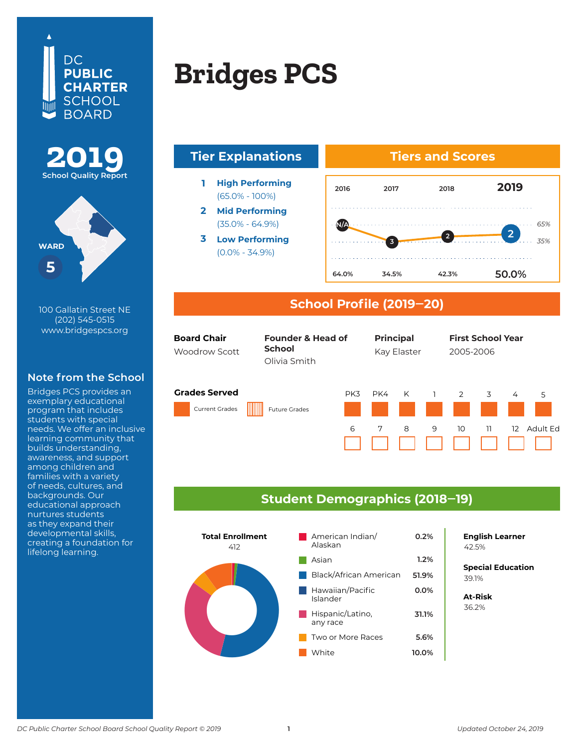

100 Gallatin Street NE (202) 545-0515 www.bridgespcs.org

### **Note from the School**

Bridges PCS provides an exemplary educational program that includes students with special needs. We offer an inclusive learning community that builds understanding, awareness, and support among children and families with a variety of needs, cultures, and backgrounds. Our educational approach nurtures students as they expand their developmental skills, creating a foundation for

# **Apple Early 2004 Learning PCS – Bridges PCS**





**3 Low Performing** (0.0% - 34.9%)



#### **School Profile (2019‒20)**

| <b>Board Chair</b><br><b>Woodrow Scott</b>    | <b>Founder &amp; Head of</b><br><b>School</b><br>Olivia Smith |     | <b>Principal</b><br>Kay Elaster |          |              | <b>First School Year</b><br>2005-2006 |    |    |          |
|-----------------------------------------------|---------------------------------------------------------------|-----|---------------------------------|----------|--------------|---------------------------------------|----|----|----------|
| <b>Grades Served</b><br><b>Current Grades</b> | <b>Future Grades</b>                                          | PK3 | PK4                             | <b>K</b> | $\mathbf{1}$ | $\overline{2}$                        | 3  | 4  | 5        |
|                                               |                                                               | 6   | 7                               | 8        | 9            | 10                                    | 11 | 12 | Adult Ed |

#### **Student Demographics (2018‒19)**



**English Learner**

**Special Education** 6.2% 39.1%

**At-Risk** 36.2%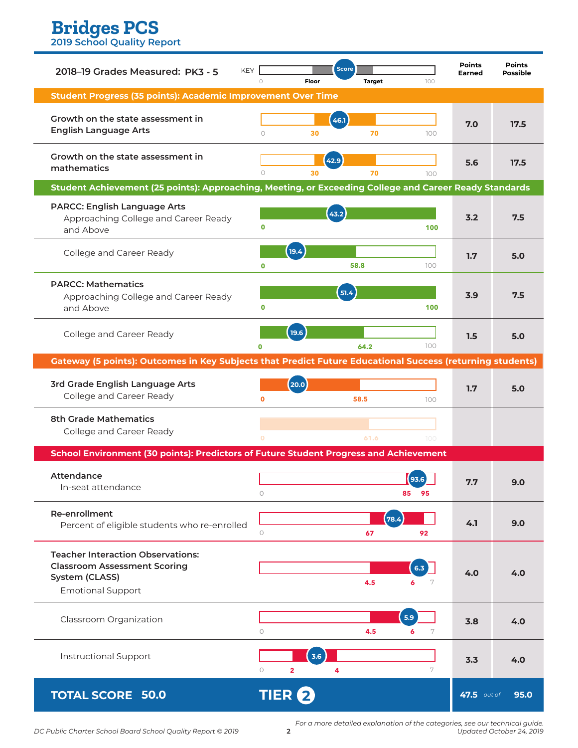# **Center City PCS – Trinidad Bridges PCS**

**2019 School Quality Report**

| <b>KEY</b><br>2018-19 Grades Measured: PK3 - 5                                                                                | $\circ$      | <b>Score</b><br>Floor    | <b>Target</b> | 100           | <b>Points</b><br><b>Earned</b> | <b>Points</b><br><b>Possible</b> |  |  |  |  |
|-------------------------------------------------------------------------------------------------------------------------------|--------------|--------------------------|---------------|---------------|--------------------------------|----------------------------------|--|--|--|--|
| <b>Student Progress (35 points): Academic Improvement Over Time</b>                                                           |              |                          |               |               |                                |                                  |  |  |  |  |
| Growth on the state assessment in<br><b>English Language Arts</b>                                                             | $\circ$      | 46.1<br>30               | 70            | 100           | 7.0                            | 17.5                             |  |  |  |  |
| Growth on the state assessment in<br>mathematics                                                                              | $\circ$      | 42.9<br>30               | 70            | 100           | 5.6                            | 17.5                             |  |  |  |  |
| Student Achievement (25 points): Approaching, Meeting, or Exceeding College and Career Ready Standards                        |              |                          |               |               |                                |                                  |  |  |  |  |
| <b>PARCC: English Language Arts</b><br>Approaching College and Career Ready<br>and Above                                      | $\mathbf 0$  | (43.2)                   |               | 100           | 3.2                            | 7.5                              |  |  |  |  |
| College and Career Ready                                                                                                      | 0            | (19.4)                   | 58.8          | 100           | 1.7                            | 5.0                              |  |  |  |  |
| <b>PARCC: Mathematics</b><br>Approaching College and Career Ready<br>and Above                                                | $\mathbf 0$  |                          | 51.4          | 100           | 3.9                            | 7.5                              |  |  |  |  |
| College and Career Ready                                                                                                      | n            | 19.6                     | 64.2          | 100           | 1.5                            | 5.0                              |  |  |  |  |
| <b>Gateway (5 points): Outcomes in Key Subjects that Predict Future Educational Success (returning students)</b>              |              |                          |               |               |                                |                                  |  |  |  |  |
| 3rd Grade English Language Arts<br>College and Career Ready                                                                   | $\mathbf{0}$ | (20.0)                   | 58.5          | 100           | 1.7                            | 5.0                              |  |  |  |  |
| <b>8th Grade Mathematics</b><br>College and Career Ready                                                                      | $\mathbf{O}$ |                          | 61.6          | 100           |                                |                                  |  |  |  |  |
| School Environment (30 points): Predictors of Future Student Progress and Achievement                                         |              |                          |               |               |                                |                                  |  |  |  |  |
| Attendance<br>In-seat attendance                                                                                              | $\circ$      |                          |               | 85<br>95      | 7.7                            | 9.0                              |  |  |  |  |
| <b>Re-enrollment</b><br>Percent of eligible students who re-enrolled                                                          | $\circ$      |                          | (78.4)<br>67  | 92            | 4.1                            | 9.0                              |  |  |  |  |
| <b>Teacher Interaction Observations:</b><br><b>Classroom Assessment Scoring</b><br>System (CLASS)<br><b>Emotional Support</b> |              |                          | 4.5           | 6.3<br>6<br>7 | 4.0                            | 4.0                              |  |  |  |  |
| Classroom Organization                                                                                                        | $\circ$      |                          | 4.5           | 5.9<br>7<br>6 | 3.8                            | 4.0                              |  |  |  |  |
| <b>Instructional Support</b>                                                                                                  | $\circ$      | 3.6<br>$\mathbf{2}$<br>4 |               | 7             | 3.3                            | 4.0                              |  |  |  |  |
| <b>TOTAL SCORE 50.0</b>                                                                                                       |              | TIER <sup>2</sup>        |               |               | 47.5 out of                    | 95.0                             |  |  |  |  |